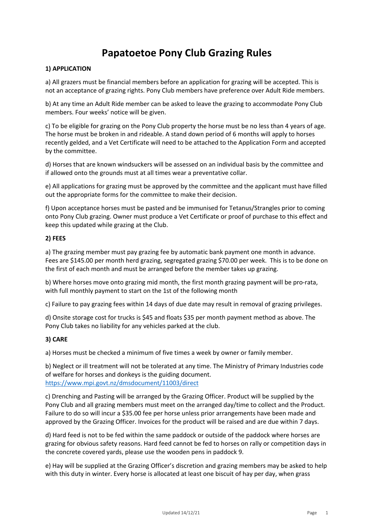# **Papatoetoe Pony Club Grazing Rules**

# **1) APPLICATION**

a) All grazers must be financial members before an application for grazing will be accepted. This is not an acceptance of grazing rights. Pony Club members have preference over Adult Ride members.

b) At any time an Adult Ride member can be asked to leave the grazing to accommodate Pony Club members. Four weeks' notice will be given.

c) To be eligible for grazing on the Pony Club property the horse must be no less than 4 years of age. The horse must be broken in and rideable. A stand down period of 6 months will apply to horses recently gelded, and a Vet Certificate will need to be attached to the Application Form and accepted by the committee.

d) Horses that are known windsuckers will be assessed on an individual basis by the committee and if allowed onto the grounds must at all times wear a preventative collar.

e) All applications for grazing must be approved by the committee and the applicant must have filled out the appropriate forms for the committee to make their decision.

f) Upon acceptance horses must be pasted and be immunised for Tetanus/Strangles prior to coming onto Pony Club grazing. Owner must produce a Vet Certificate or proof of purchase to this effect and keep this updated while grazing at the Club.

# **2) FEES**

a) The grazing member must pay grazing fee by automatic bank payment one month in advance. Fees are \$145.00 per month herd grazing, segregated grazing \$70.00 per week. This is to be done on the first of each month and must be arranged before the member takes up grazing.

b) Where horses move onto grazing mid month, the first month grazing payment will be pro-rata, with full monthly payment to start on the 1st of the following month

c) Failure to pay grazing fees within 14 days of due date may result in removal of grazing privileges.

d) Onsite storage cost for trucks is \$45 and floats \$35 per month payment method as above. The Pony Club takes no liability for any vehicles parked at the club.

# **3) CARE**

a) Horses must be checked a minimum of five times a week by owner or family member.

b) Neglect or ill treatment will not be tolerated at any time. The Ministry of Primary Industries code of welfare for horses and donkeys is the guiding document. https://www.mpi.govt.nz/dmsdocument/11003/direct

c) Drenching and Pasting will be arranged by the Grazing Officer. Product will be supplied by the Pony Club and all grazing members must meet on the arranged day/time to collect and the Product. Failure to do so will incur a \$35.00 fee per horse unless prior arrangements have been made and approved by the Grazing Officer. Invoices for the product will be raised and are due within 7 days.

d) Hard feed is not to be fed within the same paddock or outside of the paddock where horses are grazing for obvious safety reasons. Hard feed cannot be fed to horses on rally or competition days in the concrete covered yards, please use the wooden pens in paddock 9.

e) Hay will be supplied at the Grazing Officer's discretion and grazing members may be asked to help with this duty in winter. Every horse is allocated at least one biscuit of hay per day, when grass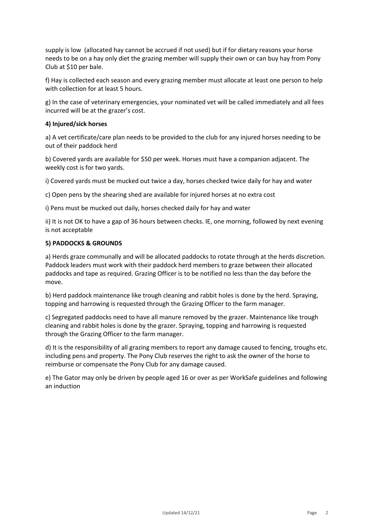supply is low (allocated hay cannot be accrued if not used) but if for dietary reasons your horse needs to be on a hay only diet the grazing member will supply their own or can buy hay from Pony Club at \$10 per bale.

f) Hay is collected each season and every grazing member must allocate at least one person to help with collection for at least 5 hours.

g) In the case of veterinary emergencies, your nominated vet will be called immediately and all fees incurred will be at the grazer's cost.

### **4) Injured/sick horses**

a) A vet certificate/care plan needs to be provided to the club for any injured horses needing to be out of their paddock herd

b) Covered yards are available for \$50 per week. Horses must have a companion adjacent. The weekly cost is for two yards.

i) Covered yards must be mucked out twice a day, horses checked twice daily for hay and water

c) Open pens by the shearing shed are available for injured horses at no extra cost

i) Pens must be mucked out daily, horses checked daily for hay and water

ii) It is not OK to have a gap of 36 hours between checks. IE, one morning, followed by next evening is not acceptable

### **5) PADDOCKS & GROUNDS**

a) Herds graze communally and will be allocated paddocks to rotate through at the herds discretion. Paddock leaders must work with their paddock herd members to graze between their allocated paddocks and tape as required. Grazing Officer is to be notified no less than the day before the move.

b) Herd paddock maintenance like trough cleaning and rabbit holes is done by the herd. Spraying, topping and harrowing is requested through the Grazing Officer to the farm manager.

c) Segregated paddocks need to have all manure removed by the grazer. Maintenance like trough cleaning and rabbit holes is done by the grazer. Spraying, topping and harrowing is requested through the Grazing Officer to the farm manager.

d) It is the responsibility of all grazing members to report any damage caused to fencing, troughs etc. including pens and property. The Pony Club reserves the right to ask the owner of the horse to reimburse or compensate the Pony Club for any damage caused.

e) The Gator may only be driven by people aged 16 or over as per WorkSafe guidelines and following an induction